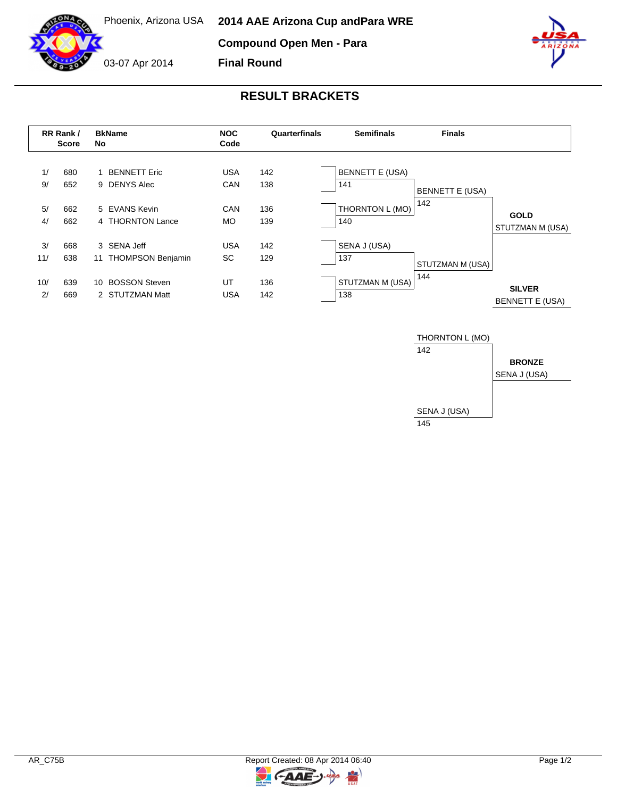Phoenix, Arizona USA

**Compound Open Men - Para**

**Final Round**



03-07 Apr 2014



## **RESULT BRACKETS**

|                | RR Rank /<br>Score | <b>BkName</b><br>No                                  | <b>NOC</b><br>Code       | Quarterfinals     | <b>Semifinals</b>                                | <b>Finals</b>                 |                                         |
|----------------|--------------------|------------------------------------------------------|--------------------------|-------------------|--------------------------------------------------|-------------------------------|-----------------------------------------|
| 1/<br>9/<br>5/ | 680<br>652<br>662  | <b>BENNETT Eric</b><br>9 DENYS Alec<br>5 EVANS Kevin | <b>USA</b><br>CAN<br>CAN | 142<br>138<br>136 | <b>BENNETT E (USA)</b><br>141<br>THORNTON L (MO) | <b>BENNETT E (USA)</b><br>142 | <b>GOLD</b>                             |
| 4/             | 662                | 4 THORNTON Lance                                     | <b>MO</b>                | 139               | 140                                              |                               | STUTZMAN M (USA)                        |
| 3/<br>11/      | 668<br>638         | 3 SENA Jeff<br><b>THOMPSON Benjamin</b><br>11        | <b>USA</b><br>SC         | 142<br>129        | SENA J (USA)<br>137                              | STUTZMAN M (USA)              |                                         |
| 10/<br>2/      | 639<br>669         | <b>BOSSON Steven</b><br>10<br>2 STUTZMAN Matt        | UT<br><b>USA</b>         | 136<br>142        | STUTZMAN M (USA)<br>138                          | 144                           | <b>SILVER</b><br><b>BENNETT E (USA)</b> |





 $\overline{z}$